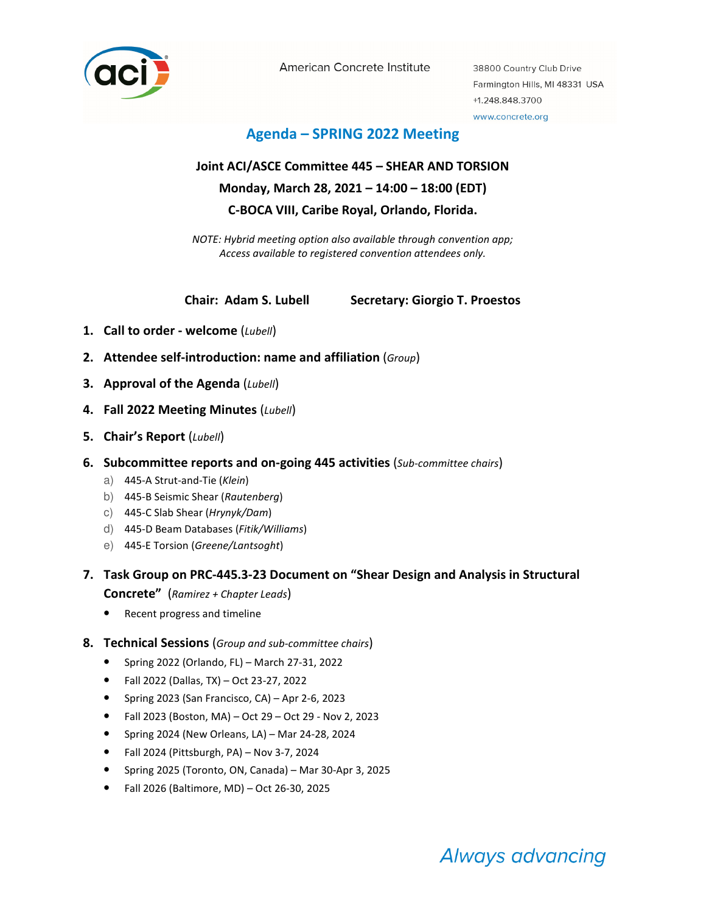

American Concrete Institute

38800 Country Club Drive Farmington Hills, MI 48331 USA +1.248.848.3700 www.concrete.org

## Agenda – SPRING 2022 Meeting

# Joint ACI/ASCE Committee 445 – SHEAR AND TORSION Monday, March 28, 2021 – 14:00 – 18:00 (EDT) C-BOCA VIII, Caribe Royal, Orlando, Florida.

NOTE: Hybrid meeting option also available through convention app; Access available to registered convention attendees only.

Chair: Adam S. Lubell Secretary: Giorgio T. Proestos

- 1. Call to order welcome  $(Lubell)$
- 2. Attendee self-introduction: name and affiliation (Group)
- 3. Approval of the Agenda (Lubell)
- 4. Fall 2022 Meeting Minutes (Lubell)
- 5. Chair's Report (Lubell)
- 6. Subcommittee reports and on-going 445 activities (Sub-committee chairs)
	- a) 445-A Strut-and-Tie (Klein)
	- b) 445-B Seismic Shear (Rautenberg)
	- c) 445-C Slab Shear (Hrynyk/Dam)
	- d) 445-D Beam Databases (Fitik/Williams)
	- e) 445-E Torsion (Greene/Lantsoght)

## 7. Task Group on PRC-445.3-23 Document on "Shear Design and Analysis in Structural

Concrete" (Ramirez + Chapter Leads)

- Recent progress and timeline
- 8. Technical Sessions (Group and sub-committee chairs)
	- Spring 2022 (Orlando, FL) March 27-31, 2022
	- Fall 2022 (Dallas, TX) Oct 23-27, 2022
	- Spring 2023 (San Francisco, CA) Apr 2-6, 2023
	- Fall 2023 (Boston, MA) Oct 29 Oct 29 Nov 2, 2023
	- Spring 2024 (New Orleans, LA) Mar 24-28, 2024
	- Fall 2024 (Pittsburgh, PA) Nov 3-7, 2024
	- Spring 2025 (Toronto, ON, Canada) Mar 30-Apr 3, 2025
	- Fall 2026 (Baltimore, MD) Oct 26-30, 2025